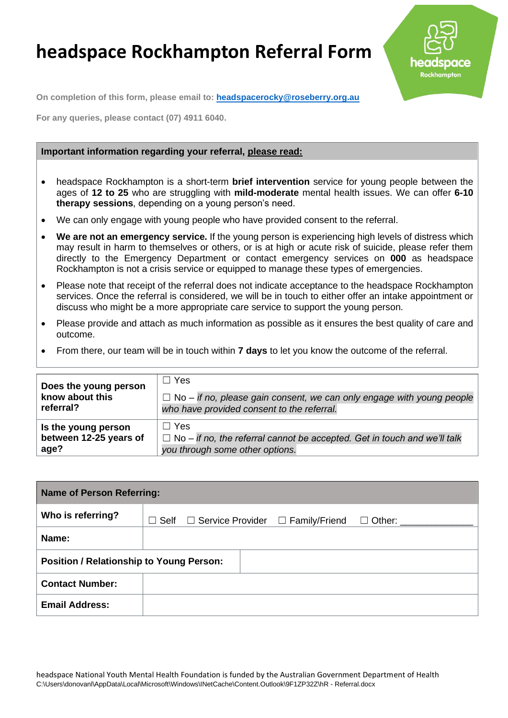## **headspace Rockhampton Referral Form**



**On completion of this form, please email to: [headspacerocky@roseberry.org.au](mailto:headspacerocky@roseberry.org.au)**

**For any queries, please contact (07) 4911 6040.**

## **Important information regarding your referral, please read:**

- headspace Rockhampton is a short-term **brief intervention** service for young people between the ages of **12 to 25** who are struggling with **mild-moderate** mental health issues. We can offer **6-10 therapy sessions**, depending on a young person's need.
- We can only engage with young people who have provided consent to the referral.
- **We are not an emergency service.** If the young person is experiencing high levels of distress which may result in harm to themselves or others, or is at high or acute risk of suicide, please refer them directly to the Emergency Department or contact emergency services on **000** as headspace Rockhampton is not a crisis service or equipped to manage these types of emergencies.
- Please note that receipt of the referral does not indicate acceptance to the headspace Rockhampton services. Once the referral is considered, we will be in touch to either offer an intake appointment or discuss who might be a more appropriate care service to support the young person.
- Please provide and attach as much information as possible as it ensures the best quality of care and outcome.
- From there, our team will be in touch within **7 days** to let you know the outcome of the referral.

| Does the young person  | $\Box$ Yes                                                                      |
|------------------------|---------------------------------------------------------------------------------|
| know about this        | $\Box$ No – if no, please gain consent, we can only engage with young people    |
| referral?              | who have provided consent to the referral.                                      |
| Is the young person    | $\Box$ Yes                                                                      |
| between 12-25 years of | $\Box$ No – if no, the referral cannot be accepted. Get in touch and we'll talk |
| age?                   | you through some other options.                                                 |

| <b>Name of Person Referring:</b>                |                 |                                              |  |                                            |  |  |
|-------------------------------------------------|-----------------|----------------------------------------------|--|--------------------------------------------|--|--|
| Who is referring?                               | Self<br>$\perp$ | $\Box$ Service Provider $\Box$ Family/Friend |  | $\Box$ Other: $\_\_\_\_\_\_\_\_\_\_\_\_\_$ |  |  |
| Name:                                           |                 |                                              |  |                                            |  |  |
| <b>Position / Relationship to Young Person:</b> |                 |                                              |  |                                            |  |  |
| <b>Contact Number:</b>                          |                 |                                              |  |                                            |  |  |
| <b>Email Address:</b>                           |                 |                                              |  |                                            |  |  |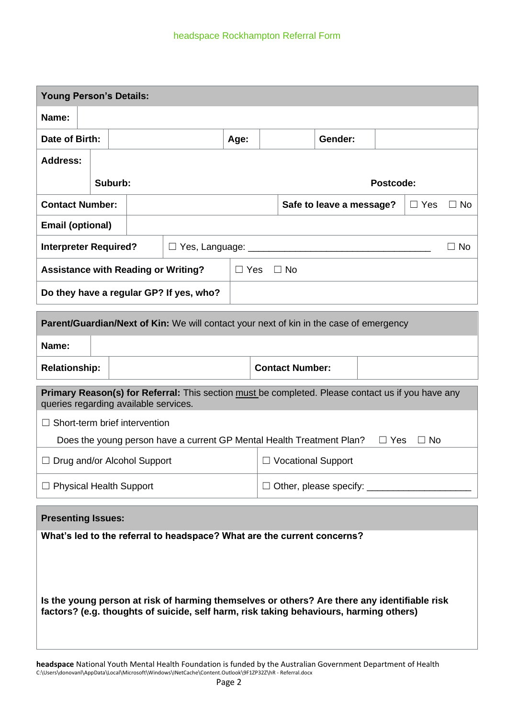| <b>Young Person's Details:</b>                                                                                                                                                         |                                                                 |  |                                                                                                   |                      |  |                        |                          |            |            |           |
|----------------------------------------------------------------------------------------------------------------------------------------------------------------------------------------|-----------------------------------------------------------------|--|---------------------------------------------------------------------------------------------------|----------------------|--|------------------------|--------------------------|------------|------------|-----------|
| Name:                                                                                                                                                                                  |                                                                 |  |                                                                                                   |                      |  |                        |                          |            |            |           |
| Date of Birth:                                                                                                                                                                         |                                                                 |  |                                                                                                   | Age:                 |  |                        | Gender:                  |            |            |           |
| <b>Address:</b>                                                                                                                                                                        |                                                                 |  |                                                                                                   |                      |  |                        |                          |            |            |           |
|                                                                                                                                                                                        | Suburb:                                                         |  |                                                                                                   |                      |  |                        |                          | Postcode:  |            |           |
| <b>Contact Number:</b>                                                                                                                                                                 |                                                                 |  |                                                                                                   |                      |  |                        | Safe to leave a message? |            | $\Box$ Yes | $\Box$ No |
| <b>Email (optional)</b>                                                                                                                                                                |                                                                 |  |                                                                                                   |                      |  |                        |                          |            |            |           |
| <b>Interpreter Required?</b>                                                                                                                                                           |                                                                 |  |                                                                                                   |                      |  |                        |                          |            |            | $\Box$ No |
|                                                                                                                                                                                        |                                                                 |  | <b>Assistance with Reading or Writing?</b>                                                        | $\Box$ Yes $\Box$ No |  |                        |                          |            |            |           |
|                                                                                                                                                                                        |                                                                 |  | Do they have a regular GP? If yes, who?                                                           |                      |  |                        |                          |            |            |           |
|                                                                                                                                                                                        |                                                                 |  |                                                                                                   |                      |  |                        |                          |            |            |           |
|                                                                                                                                                                                        |                                                                 |  | Parent/Guardian/Next of Kin: We will contact your next of kin in the case of emergency            |                      |  |                        |                          |            |            |           |
| Name:                                                                                                                                                                                  |                                                                 |  |                                                                                                   |                      |  |                        |                          |            |            |           |
| <b>Relationship:</b>                                                                                                                                                                   |                                                                 |  |                                                                                                   |                      |  | <b>Contact Number:</b> |                          |            |            |           |
| queries regarding available services.                                                                                                                                                  |                                                                 |  | Primary Reason(s) for Referral: This section must be completed. Please contact us if you have any |                      |  |                        |                          |            |            |           |
| $\Box$ Short-term brief intervention                                                                                                                                                   |                                                                 |  |                                                                                                   |                      |  |                        |                          |            |            |           |
|                                                                                                                                                                                        |                                                                 |  | Does the young person have a current GP Mental Health Treatment Plan?                             |                      |  |                        |                          | $\Box$ Yes | $\Box$ No  |           |
|                                                                                                                                                                                        | <b>Vocational Support</b><br>$\Box$ Drug and/or Alcohol Support |  |                                                                                                   |                      |  |                        |                          |            |            |           |
|                                                                                                                                                                                        | $\Box$ Physical Health Support                                  |  |                                                                                                   |                      |  |                        |                          |            |            |           |
| <b>Presenting Issues:</b>                                                                                                                                                              |                                                                 |  |                                                                                                   |                      |  |                        |                          |            |            |           |
| What's led to the referral to headspace? What are the current concerns?                                                                                                                |                                                                 |  |                                                                                                   |                      |  |                        |                          |            |            |           |
|                                                                                                                                                                                        |                                                                 |  |                                                                                                   |                      |  |                        |                          |            |            |           |
|                                                                                                                                                                                        |                                                                 |  |                                                                                                   |                      |  |                        |                          |            |            |           |
| Is the young person at risk of harming themselves or others? Are there any identifiable risk<br>factors? (e.g. thoughts of suicide, self harm, risk taking behaviours, harming others) |                                                                 |  |                                                                                                   |                      |  |                        |                          |            |            |           |
|                                                                                                                                                                                        |                                                                 |  |                                                                                                   |                      |  |                        |                          |            |            |           |

**headspace** National Youth Mental Health Foundation is funded by the Australian Government Department of Health C:\Users\donovanl\AppData\Local\Microsoft\Windows\INetCache\Content.Outlook\9F1ZP32Z\hR - Referral.docx